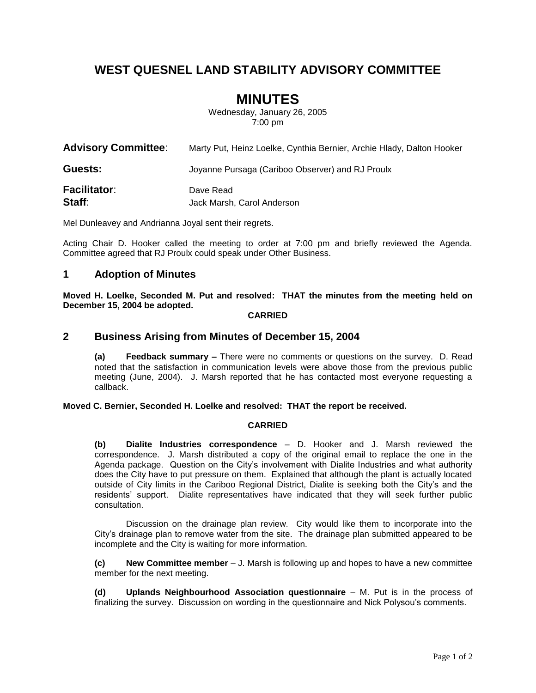## **WEST QUESNEL LAND STABILITY ADVISORY COMMITTEE**

# **MINUTES**

Wednesday, January 26, 2005 7:00 pm

| <b>Advisory Committee:</b>    | Marty Put, Heinz Loelke, Cynthia Bernier, Archie Hlady, Dalton Hooker |
|-------------------------------|-----------------------------------------------------------------------|
| Guests:                       | Joyanne Pursaga (Cariboo Observer) and RJ Proulx                      |
| <b>Facilitator:</b><br>Staff: | Dave Read<br>Jack Marsh, Carol Anderson                               |

Mel Dunleavey and Andrianna Joyal sent their regrets.

Acting Chair D. Hooker called the meeting to order at 7:00 pm and briefly reviewed the Agenda. Committee agreed that RJ Proulx could speak under Other Business.

#### **1 Adoption of Minutes**

**Moved H. Loelke, Seconded M. Put and resolved: THAT the minutes from the meeting held on December 15, 2004 be adopted.**

#### **CARRIED**

#### **2 Business Arising from Minutes of December 15, 2004**

**(a) Feedback summary –** There were no comments or questions on the survey. D. Read noted that the satisfaction in communication levels were above those from the previous public meeting (June, 2004). J. Marsh reported that he has contacted most everyone requesting a callback.

#### **Moved C. Bernier, Seconded H. Loelke and resolved: THAT the report be received.**

#### **CARRIED**

**(b) Dialite Industries correspondence** – D. Hooker and J. Marsh reviewed the correspondence. J. Marsh distributed a copy of the original email to replace the one in the Agenda package. Question on the City's involvement with Dialite Industries and what authority does the City have to put pressure on them. Explained that although the plant is actually located outside of City limits in the Cariboo Regional District, Dialite is seeking both the City's and the residents' support. Dialite representatives have indicated that they will seek further public consultation.

Discussion on the drainage plan review. City would like them to incorporate into the City's drainage plan to remove water from the site. The drainage plan submitted appeared to be incomplete and the City is waiting for more information.

**(c) New Committee member** – J. Marsh is following up and hopes to have a new committee member for the next meeting.

**(d) Uplands Neighbourhood Association questionnaire** – M. Put is in the process of finalizing the survey. Discussion on wording in the questionnaire and Nick Polysou's comments.